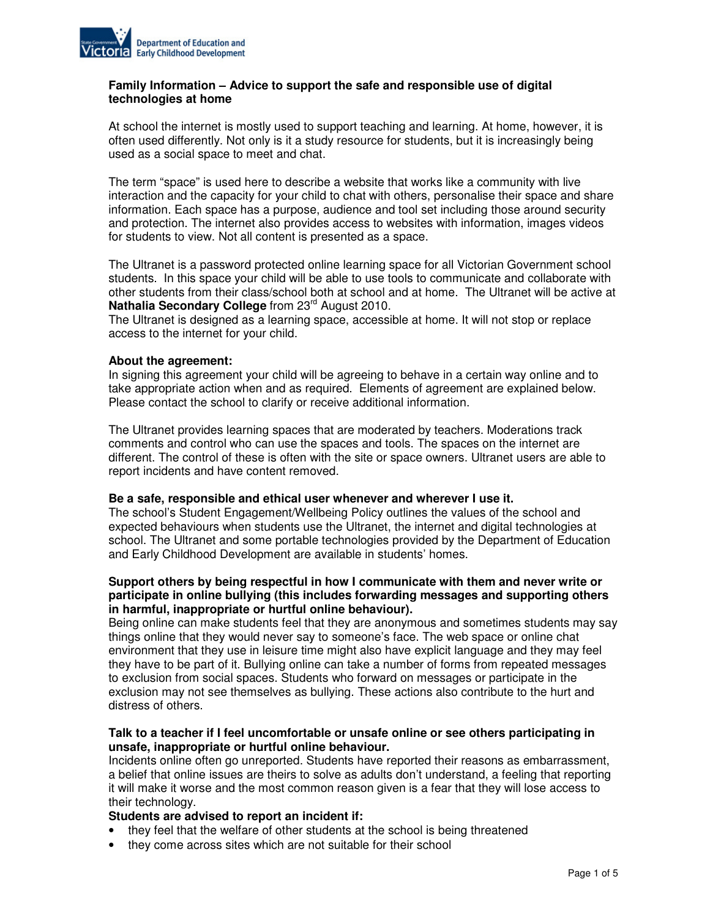

### **Family Information – Advice to support the safe and responsible use of digital technologies at home**

At school the internet is mostly used to support teaching and learning. At home, however, it is often used differently. Not only is it a study resource for students, but it is increasingly being used as a social space to meet and chat.

The term "space" is used here to describe a website that works like a community with live interaction and the capacity for your child to chat with others, personalise their space and share information. Each space has a purpose, audience and tool set including those around security and protection. The internet also provides access to websites with information, images videos for students to view. Not all content is presented as a space.

The Ultranet is a password protected online learning space for all Victorian Government school students. In this space your child will be able to use tools to communicate and collaborate with other students from their class/school both at school and at home. The Ultranet will be active at Nathalia Secondary College from 23<sup>rd</sup> August 2010.

The Ultranet is designed as a learning space, accessible at home. It will not stop or replace access to the internet for your child.

### **About the agreement:**

In signing this agreement your child will be agreeing to behave in a certain way online and to take appropriate action when and as required. Elements of agreement are explained below. Please contact the school to clarify or receive additional information.

The Ultranet provides learning spaces that are moderated by teachers. Moderations track comments and control who can use the spaces and tools. The spaces on the internet are different. The control of these is often with the site or space owners. Ultranet users are able to report incidents and have content removed.

### **Be a safe, responsible and ethical user whenever and wherever I use it.**

The school's Student Engagement/Wellbeing Policy outlines the values of the school and expected behaviours when students use the Ultranet, the internet and digital technologies at school. The Ultranet and some portable technologies provided by the Department of Education and Early Childhood Development are available in students' homes.

### **Support others by being respectful in how I communicate with them and never write or participate in online bullying (this includes forwarding messages and supporting others in harmful, inappropriate or hurtful online behaviour).**

Being online can make students feel that they are anonymous and sometimes students may say things online that they would never say to someone's face. The web space or online chat environment that they use in leisure time might also have explicit language and they may feel they have to be part of it. Bullying online can take a number of forms from repeated messages to exclusion from social spaces. Students who forward on messages or participate in the exclusion may not see themselves as bullying. These actions also contribute to the hurt and distress of others.

### **Talk to a teacher if I feel uncomfortable or unsafe online or see others participating in unsafe, inappropriate or hurtful online behaviour.**

Incidents online often go unreported. Students have reported their reasons as embarrassment, a belief that online issues are theirs to solve as adults don't understand, a feeling that reporting it will make it worse and the most common reason given is a fear that they will lose access to their technology.

## **Students are advised to report an incident if:**

- they feel that the welfare of other students at the school is being threatened
- they come across sites which are not suitable for their school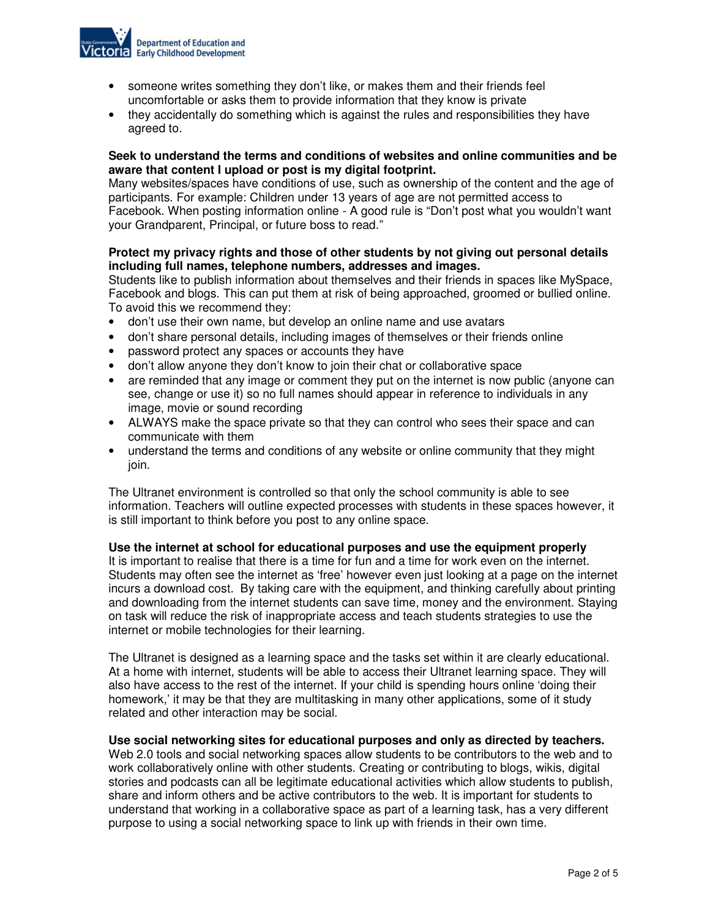

- someone writes something they don't like, or makes them and their friends feel uncomfortable or asks them to provide information that they know is private
- they accidentally do something which is against the rules and responsibilities they have agreed to.

### **Seek to understand the terms and conditions of websites and online communities and be aware that content I upload or post is my digital footprint.**

Many websites/spaces have conditions of use, such as ownership of the content and the age of participants. For example: Children under 13 years of age are not permitted access to Facebook. When posting information online - A good rule is "Don't post what you wouldn't want your Grandparent, Principal, or future boss to read."

# **Protect my privacy rights and those of other students by not giving out personal details including full names, telephone numbers, addresses and images.**

Students like to publish information about themselves and their friends in spaces like MySpace, Facebook and blogs. This can put them at risk of being approached, groomed or bullied online. To avoid this we recommend they:

- don't use their own name, but develop an online name and use avatars
- don't share personal details, including images of themselves or their friends online
- password protect any spaces or accounts they have
- don't allow anyone they don't know to join their chat or collaborative space
- are reminded that any image or comment they put on the internet is now public (anyone can see, change or use it) so no full names should appear in reference to individuals in any image, movie or sound recording
- ALWAYS make the space private so that they can control who sees their space and can communicate with them
- understand the terms and conditions of any website or online community that they might join.

The Ultranet environment is controlled so that only the school community is able to see information. Teachers will outline expected processes with students in these spaces however, it is still important to think before you post to any online space.

### **Use the internet at school for educational purposes and use the equipment properly**

It is important to realise that there is a time for fun and a time for work even on the internet. Students may often see the internet as 'free' however even just looking at a page on the internet incurs a download cost. By taking care with the equipment, and thinking carefully about printing and downloading from the internet students can save time, money and the environment. Staying on task will reduce the risk of inappropriate access and teach students strategies to use the internet or mobile technologies for their learning.

The Ultranet is designed as a learning space and the tasks set within it are clearly educational. At a home with internet, students will be able to access their Ultranet learning space. They will also have access to the rest of the internet. If your child is spending hours online 'doing their homework,' it may be that they are multitasking in many other applications, some of it study related and other interaction may be social.

### **Use social networking sites for educational purposes and only as directed by teachers.**

Web 2.0 tools and social networking spaces allow students to be contributors to the web and to work collaboratively online with other students. Creating or contributing to blogs, wikis, digital stories and podcasts can all be legitimate educational activities which allow students to publish, share and inform others and be active contributors to the web. It is important for students to understand that working in a collaborative space as part of a learning task, has a very different purpose to using a social networking space to link up with friends in their own time.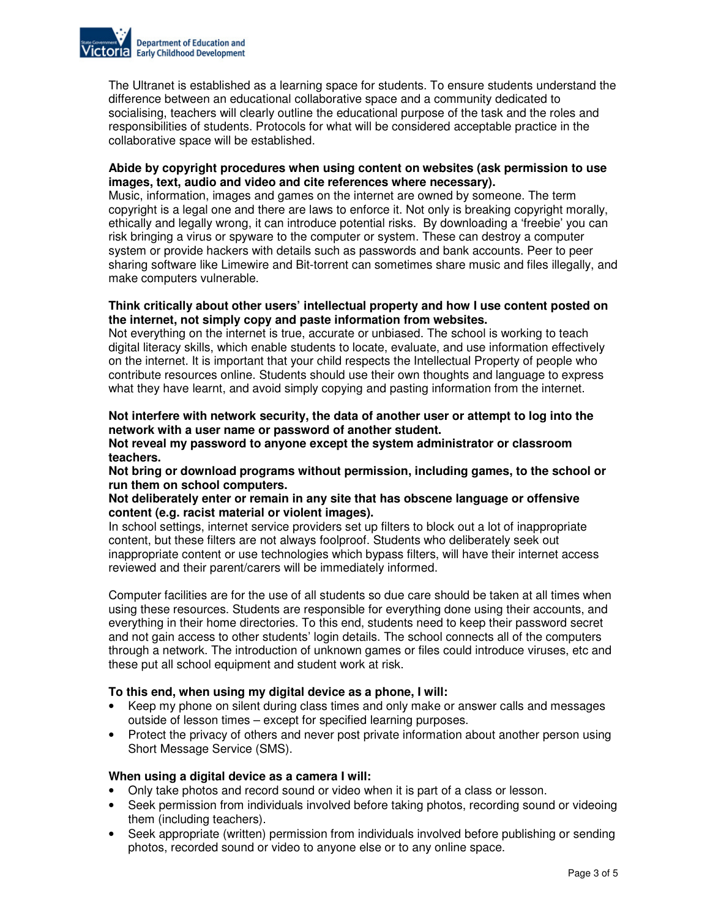

The Ultranet is established as a learning space for students. To ensure students understand the difference between an educational collaborative space and a community dedicated to socialising, teachers will clearly outline the educational purpose of the task and the roles and responsibilities of students. Protocols for what will be considered acceptable practice in the collaborative space will be established.

### **Abide by copyright procedures when using content on websites (ask permission to use images, text, audio and video and cite references where necessary).**

Music, information, images and games on the internet are owned by someone. The term copyright is a legal one and there are laws to enforce it. Not only is breaking copyright morally, ethically and legally wrong, it can introduce potential risks. By downloading a 'freebie' you can risk bringing a virus or spyware to the computer or system. These can destroy a computer system or provide hackers with details such as passwords and bank accounts. Peer to peer sharing software like Limewire and Bit-torrent can sometimes share music and files illegally, and make computers vulnerable.

#### **Think critically about other users' intellectual property and how I use content posted on the internet, not simply copy and paste information from websites.**

Not everything on the internet is true, accurate or unbiased. The school is working to teach digital literacy skills, which enable students to locate, evaluate, and use information effectively on the internet. It is important that your child respects the Intellectual Property of people who contribute resources online. Students should use their own thoughts and language to express what they have learnt, and avoid simply copying and pasting information from the internet.

### **Not interfere with network security, the data of another user or attempt to log into the network with a user name or password of another student.**

### **Not reveal my password to anyone except the system administrator or classroom teachers.**

**Not bring or download programs without permission, including games, to the school or run them on school computers.** 

### **Not deliberately enter or remain in any site that has obscene language or offensive content (e.g. racist material or violent images).**

In school settings, internet service providers set up filters to block out a lot of inappropriate content, but these filters are not always foolproof. Students who deliberately seek out inappropriate content or use technologies which bypass filters, will have their internet access reviewed and their parent/carers will be immediately informed.

Computer facilities are for the use of all students so due care should be taken at all times when using these resources. Students are responsible for everything done using their accounts, and everything in their home directories. To this end, students need to keep their password secret and not gain access to other students' login details. The school connects all of the computers through a network. The introduction of unknown games or files could introduce viruses, etc and these put all school equipment and student work at risk.

# **To this end, when using my digital device as a phone, I will:**

- Keep my phone on silent during class times and only make or answer calls and messages outside of lesson times – except for specified learning purposes.
- Protect the privacy of others and never post private information about another person using Short Message Service (SMS).

### **When using a digital device as a camera I will:**

- Only take photos and record sound or video when it is part of a class or lesson.
- Seek permission from individuals involved before taking photos, recording sound or videoing them (including teachers).
- Seek appropriate (written) permission from individuals involved before publishing or sending photos, recorded sound or video to anyone else or to any online space.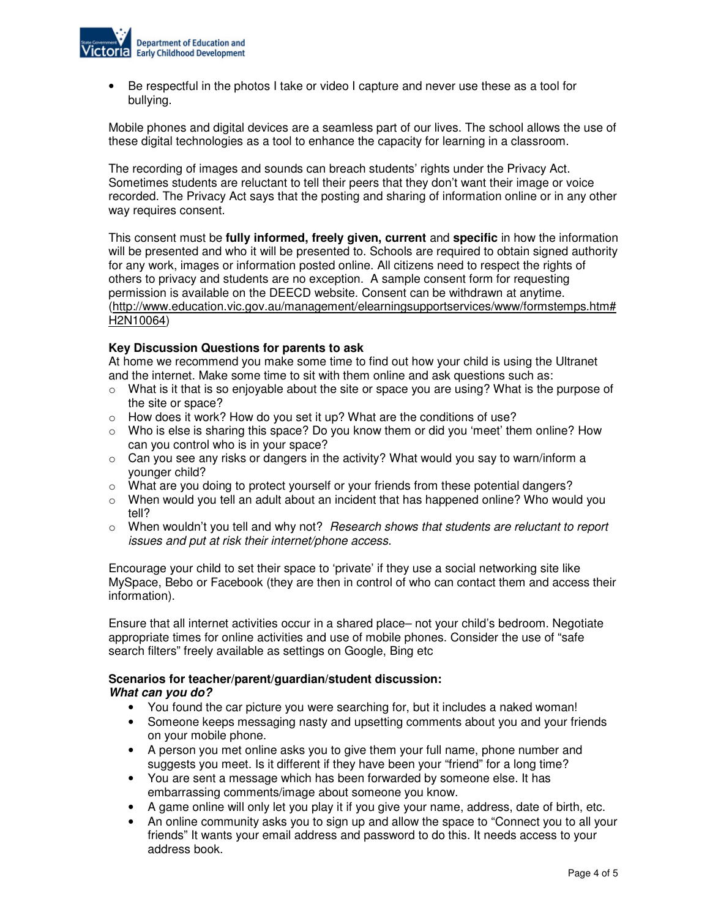

• Be respectful in the photos I take or video I capture and never use these as a tool for bullying.

Mobile phones and digital devices are a seamless part of our lives. The school allows the use of these digital technologies as a tool to enhance the capacity for learning in a classroom.

The recording of images and sounds can breach students' rights under the Privacy Act. Sometimes students are reluctant to tell their peers that they don't want their image or voice recorded. The Privacy Act says that the posting and sharing of information online or in any other way requires consent.

This consent must be **fully informed, freely given, current** and **specific** in how the information will be presented and who it will be presented to. Schools are required to obtain signed authority for any work, images or information posted online. All citizens need to respect the rights of others to privacy and students are no exception. A sample consent form for requesting permission is available on the DEECD website. Consent can be withdrawn at anytime. (http://www.education.vic.gov.au/management/elearningsupportservices/www/formstemps.htm# H2N10064)

### **Key Discussion Questions for parents to ask**

At home we recommend you make some time to find out how your child is using the Ultranet and the internet. Make some time to sit with them online and ask questions such as:

- $\circ$  What is it that is so enjoyable about the site or space you are using? What is the purpose of the site or space?
- $\circ$  How does it work? How do you set it up? What are the conditions of use?
- $\circ$  Who is else is sharing this space? Do you know them or did you 'meet' them online? How can you control who is in your space?
- $\circ$  Can you see any risks or dangers in the activity? What would you say to warn/inform a younger child?
- $\circ$  What are you doing to protect yourself or your friends from these potential dangers?
- $\circ$  When would you tell an adult about an incident that has happened online? Who would you tell?
- $\circ$  When wouldn't you tell and why not? Research shows that students are reluctant to report issues and put at risk their internet/phone access.

Encourage your child to set their space to 'private' if they use a social networking site like MySpace, Bebo or Facebook (they are then in control of who can contact them and access their information).

Ensure that all internet activities occur in a shared place– not your child's bedroom. Negotiate appropriate times for online activities and use of mobile phones. Consider the use of "safe search filters" freely available as settings on Google, Bing etc

### **Scenarios for teacher/parent/guardian/student discussion: What can you do?**

- You found the car picture you were searching for, but it includes a naked woman!
- Someone keeps messaging nasty and upsetting comments about you and your friends on your mobile phone.
- A person you met online asks you to give them your full name, phone number and suggests you meet. Is it different if they have been your "friend" for a long time?
- You are sent a message which has been forwarded by someone else. It has embarrassing comments/image about someone you know.
- A game online will only let you play it if you give your name, address, date of birth, etc.
- An online community asks you to sign up and allow the space to "Connect you to all your friends" It wants your email address and password to do this. It needs access to your address book.